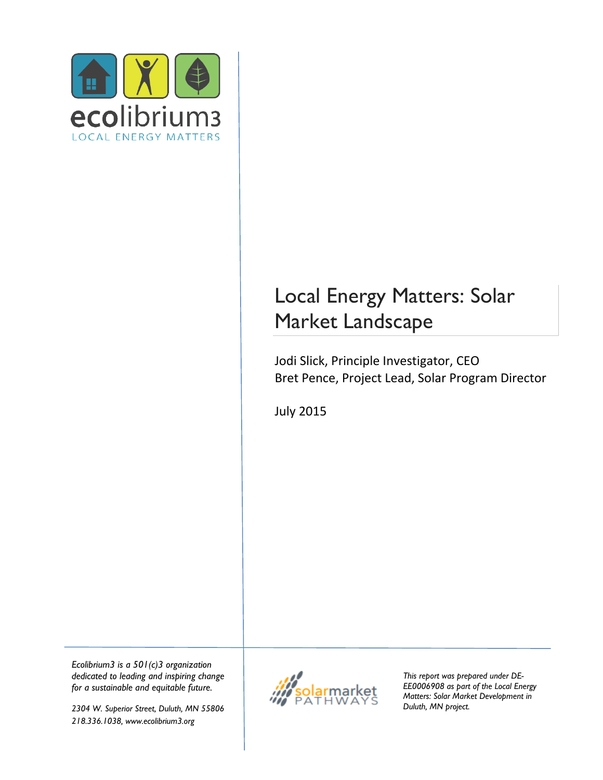

# Local Energy Matters: Solar Market Landscape

Jodi Slick, Principle Investigator, CEO Bret Pence, Project Lead, Solar Program Director

July 2015

*Ecolibrium3 is a 501(c)3 organization dedicated to leading and inspiring change for a sustainable and equitable future.*

*2304 W. Superior Street, Duluth, MN 55806 218.336.1038, www.ecolibrium3.org*



*This report was prepared under DE-EE0006908 as part of the Local Energy Matters: Solar Market Development in Duluth, MN project.*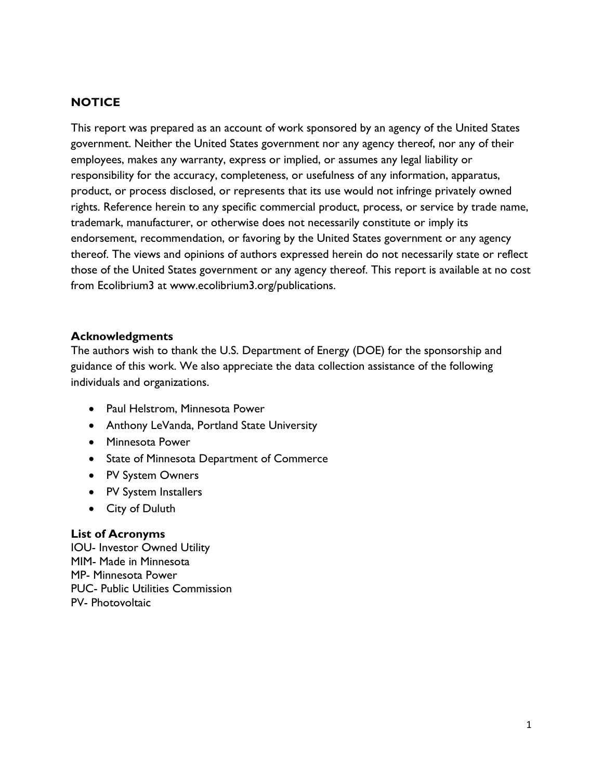#### **NOTICE**

This report was prepared as an account of work sponsored by an agency of the United States government. Neither the United States government nor any agency thereof, nor any of their employees, makes any warranty, express or implied, or assumes any legal liability or responsibility for the accuracy, completeness, or usefulness of any information, apparatus, product, or process disclosed, or represents that its use would not infringe privately owned rights. Reference herein to any specific commercial product, process, or service by trade name, trademark, manufacturer, or otherwise does not necessarily constitute or imply its endorsement, recommendation, or favoring by the United States government or any agency thereof. The views and opinions of authors expressed herein do not necessarily state or reflect those of the United States government or any agency thereof. This report is available at no cost from Ecolibrium3 at www.ecolibrium3.org/publications.

#### **Acknowledgments**

The authors wish to thank the U.S. Department of Energy (DOE) for the sponsorship and guidance of this work. We also appreciate the data collection assistance of the following individuals and organizations.

- Paul Helstrom, Minnesota Power
- Anthony LeVanda, Portland State University
- Minnesota Power
- State of Minnesota Department of Commerce
- PV System Owners
- PV System Installers
- City of Duluth

#### **List of Acronyms**

IOU- Investor Owned Utility MIM- Made in Minnesota MP- Minnesota Power PUC- Public Utilities Commission PV- Photovoltaic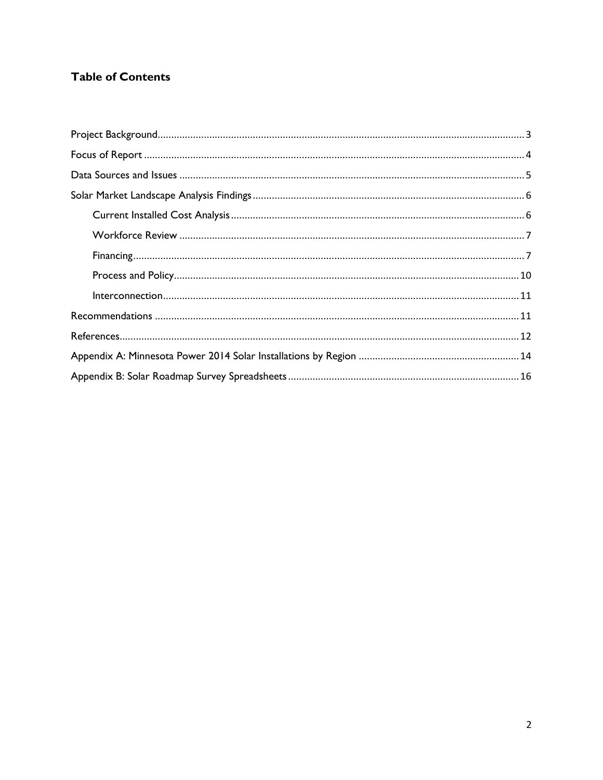### **Table of Contents**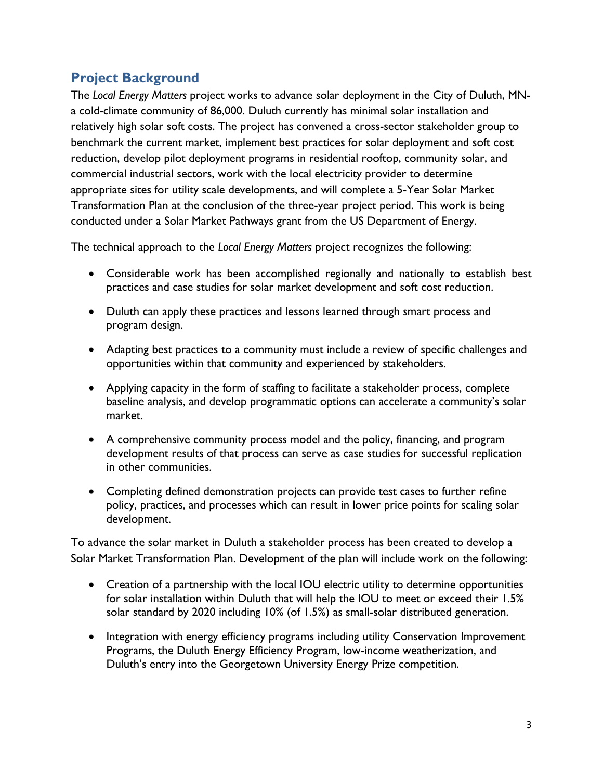## <span id="page-3-0"></span>**Project Background**

The *Local Energy Matters* project works to advance solar deployment in the City of Duluth, MNa cold-climate community of 86,000. Duluth currently has minimal solar installation and relatively high solar soft costs. The project has convened a cross-sector stakeholder group to benchmark the current market, implement best practices for solar deployment and soft cost reduction, develop pilot deployment programs in residential rooftop, community solar, and commercial industrial sectors, work with the local electricity provider to determine appropriate sites for utility scale developments, and will complete a 5-Year Solar Market Transformation Plan at the conclusion of the three-year project period. This work is being conducted under a Solar Market Pathways grant from the US Department of Energy.

The technical approach to the *Local Energy Matters* project recognizes the following:

- Considerable work has been accomplished regionally and nationally to establish best practices and case studies for solar market development and soft cost reduction.
- Duluth can apply these practices and lessons learned through smart process and program design.
- Adapting best practices to a community must include a review of specific challenges and opportunities within that community and experienced by stakeholders.
- Applying capacity in the form of staffing to facilitate a stakeholder process, complete baseline analysis, and develop programmatic options can accelerate a community's solar market.
- A comprehensive community process model and the policy, financing, and program development results of that process can serve as case studies for successful replication in other communities.
- Completing defined demonstration projects can provide test cases to further refine policy, practices, and processes which can result in lower price points for scaling solar development.

To advance the solar market in Duluth a stakeholder process has been created to develop a Solar Market Transformation Plan. Development of the plan will include work on the following:

- Creation of a partnership with the local IOU electric utility to determine opportunities for solar installation within Duluth that will help the IOU to meet or exceed their 1.5% solar standard by 2020 including 10% (of 1.5%) as small-solar distributed generation.
- Integration with energy efficiency programs including utility Conservation Improvement Programs, the Duluth Energy Efficiency Program, low-income weatherization, and Duluth's entry into the Georgetown University Energy Prize competition.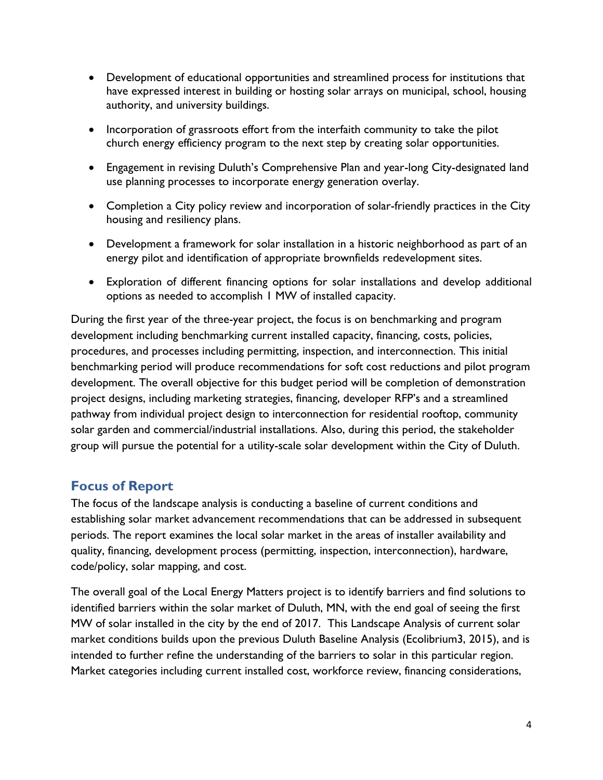- Development of educational opportunities and streamlined process for institutions that have expressed interest in building or hosting solar arrays on municipal, school, housing authority, and university buildings.
- Incorporation of grassroots effort from the interfaith community to take the pilot church energy efficiency program to the next step by creating solar opportunities.
- Engagement in revising Duluth's Comprehensive Plan and year-long City-designated land use planning processes to incorporate energy generation overlay.
- Completion a City policy review and incorporation of solar-friendly practices in the City housing and resiliency plans.
- Development a framework for solar installation in a historic neighborhood as part of an energy pilot and identification of appropriate brownfields redevelopment sites.
- Exploration of different financing options for solar installations and develop additional options as needed to accomplish 1 MW of installed capacity.

During the first year of the three-year project, the focus is on benchmarking and program development including benchmarking current installed capacity, financing, costs, policies, procedures, and processes including permitting, inspection, and interconnection. This initial benchmarking period will produce recommendations for soft cost reductions and pilot program development. The overall objective for this budget period will be completion of demonstration project designs, including marketing strategies, financing, developer RFP's and a streamlined pathway from individual project design to interconnection for residential rooftop, community solar garden and commercial/industrial installations. Also, during this period, the stakeholder group will pursue the potential for a utility-scale solar development within the City of Duluth.

## <span id="page-4-0"></span>**Focus of Report**

The focus of the landscape analysis is conducting a baseline of current conditions and establishing solar market advancement recommendations that can be addressed in subsequent periods. The report examines the local solar market in the areas of installer availability and quality, financing, development process (permitting, inspection, interconnection), hardware, code/policy, solar mapping, and cost.

The overall goal of the Local Energy Matters project is to identify barriers and find solutions to identified barriers within the solar market of Duluth, MN, with the end goal of seeing the first MW of solar installed in the city by the end of 2017. This Landscape Analysis of current solar market conditions builds upon the previous Duluth Baseline Analysis (Ecolibrium3, 2015), and is intended to further refine the understanding of the barriers to solar in this particular region. Market categories including current installed cost, workforce review, financing considerations,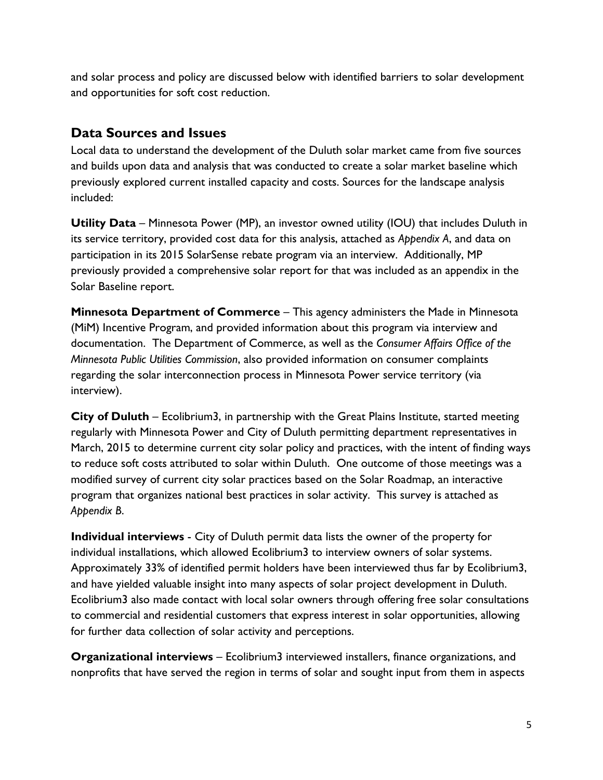and solar process and policy are discussed below with identified barriers to solar development and opportunities for soft cost reduction.

## <span id="page-5-0"></span>**Data Sources and Issues**

Local data to understand the development of the Duluth solar market came from five sources and builds upon data and analysis that was conducted to create a solar market baseline which previously explored current installed capacity and costs. Sources for the landscape analysis included:

**Utility Data** – Minnesota Power (MP), an investor owned utility (IOU) that includes Duluth in its service territory, provided cost data for this analysis, attached as *Appendix A*, and data on participation in its 2015 SolarSense rebate program via an interview. Additionally, MP previously provided a comprehensive solar report for that was included as an appendix in the Solar Baseline report.

**Minnesota Department of Commerce** – This agency administers the Made in Minnesota (MiM) Incentive Program, and provided information about this program via interview and documentation. The Department of Commerce, as well as the *Consumer Affairs Office of the Minnesota Public Utilities Commission*, also provided information on consumer complaints regarding the solar interconnection process in Minnesota Power service territory (via interview).

**City of Duluth** – Ecolibrium3, in partnership with the Great Plains Institute, started meeting regularly with Minnesota Power and City of Duluth permitting department representatives in March, 2015 to determine current city solar policy and practices, with the intent of finding ways to reduce soft costs attributed to solar within Duluth. One outcome of those meetings was a modified survey of current city solar practices based on the Solar Roadmap, an interactive program that organizes national best practices in solar activity. This survey is attached as *Appendix B*.

**Individual interviews** - City of Duluth permit data lists the owner of the property for individual installations, which allowed Ecolibrium3 to interview owners of solar systems. Approximately 33% of identified permit holders have been interviewed thus far by Ecolibrium3, and have yielded valuable insight into many aspects of solar project development in Duluth. Ecolibrium3 also made contact with local solar owners through offering free solar consultations to commercial and residential customers that express interest in solar opportunities, allowing for further data collection of solar activity and perceptions.

**Organizational interviews** – Ecolibrium3 interviewed installers, finance organizations, and nonprofits that have served the region in terms of solar and sought input from them in aspects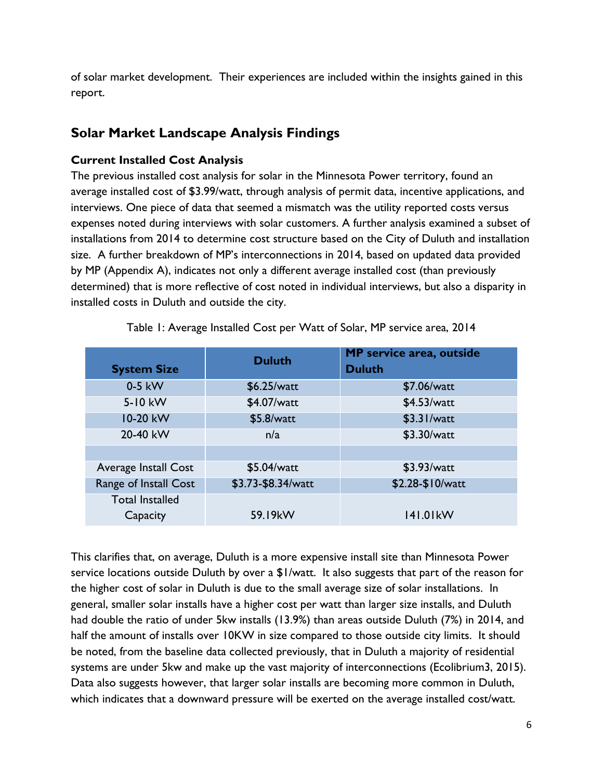of solar market development. Their experiences are included within the insights gained in this report.

## <span id="page-6-0"></span>**Solar Market Landscape Analysis Findings**

### <span id="page-6-1"></span>**Current Installed Cost Analysis**

The previous installed cost analysis for solar in the Minnesota Power territory, found an average installed cost of \$3.99/watt, through analysis of permit data, incentive applications, and interviews. One piece of data that seemed a mismatch was the utility reported costs versus expenses noted during interviews with solar customers. A further analysis examined a subset of installations from 2014 to determine cost structure based on the City of Duluth and installation size. A further breakdown of MP's interconnections in 2014, based on updated data provided by MP (Appendix A), indicates not only a different average installed cost (than previously determined) that is more reflective of cost noted in individual interviews, but also a disparity in installed costs in Duluth and outside the city.

| <b>System Size</b>                 | <b>Duluth</b>      | MP service area, outside<br><b>Duluth</b> |
|------------------------------------|--------------------|-------------------------------------------|
| 0-5 kW                             | \$6.25/watt        | \$7.06/watt                               |
| 5-10 kW                            | \$4.07/watt        | \$4.53/watt                               |
| 10-20 kW                           | \$5.8/watt         | \$3.31/watt                               |
| 20-40 kW                           | n/a                | \$3.30/watt                               |
|                                    |                    |                                           |
| Average Install Cost               | \$5.04/watt        | \$3.93/watt                               |
| Range of Install Cost              | \$3.73-\$8.34/watt | \$2.28-\$10/watt                          |
| <b>Total Installed</b><br>Capacity | 59.19kW            | 141.01kW                                  |

Table 1: Average Installed Cost per Watt of Solar, MP service area, 2014

This clarifies that, on average, Duluth is a more expensive install site than Minnesota Power service locations outside Duluth by over a \$1/watt. It also suggests that part of the reason for the higher cost of solar in Duluth is due to the small average size of solar installations. In general, smaller solar installs have a higher cost per watt than larger size installs, and Duluth had double the ratio of under 5kw installs (13.9%) than areas outside Duluth (7%) in 2014, and half the amount of installs over 10KW in size compared to those outside city limits. It should be noted, from the baseline data collected previously, that in Duluth a majority of residential systems are under 5kw and make up the vast majority of interconnections (Ecolibrium3, 2015). Data also suggests however, that larger solar installs are becoming more common in Duluth, which indicates that a downward pressure will be exerted on the average installed cost/watt.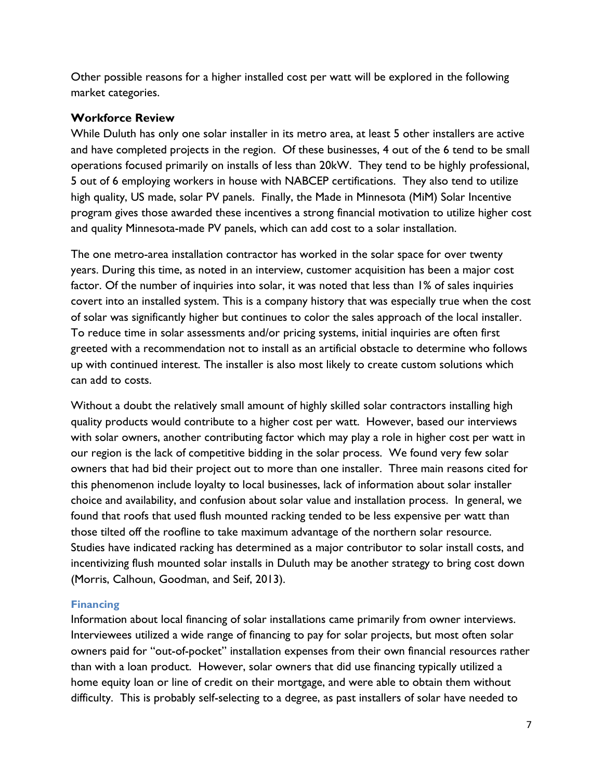Other possible reasons for a higher installed cost per watt will be explored in the following market categories.

#### <span id="page-7-0"></span>**Workforce Review**

While Duluth has only one solar installer in its metro area, at least 5 other installers are active and have completed projects in the region. Of these businesses, 4 out of the 6 tend to be small operations focused primarily on installs of less than 20kW. They tend to be highly professional, 5 out of 6 employing workers in house with NABCEP certifications. They also tend to utilize high quality, US made, solar PV panels. Finally, the Made in Minnesota (MiM) Solar Incentive program gives those awarded these incentives a strong financial motivation to utilize higher cost and quality Minnesota-made PV panels, which can add cost to a solar installation.

The one metro-area installation contractor has worked in the solar space for over twenty years. During this time, as noted in an interview, customer acquisition has been a major cost factor. Of the number of inquiries into solar, it was noted that less than 1% of sales inquiries covert into an installed system. This is a company history that was especially true when the cost of solar was significantly higher but continues to color the sales approach of the local installer. To reduce time in solar assessments and/or pricing systems, initial inquiries are often first greeted with a recommendation not to install as an artificial obstacle to determine who follows up with continued interest. The installer is also most likely to create custom solutions which can add to costs.

Without a doubt the relatively small amount of highly skilled solar contractors installing high quality products would contribute to a higher cost per watt. However, based our interviews with solar owners, another contributing factor which may play a role in higher cost per watt in our region is the lack of competitive bidding in the solar process. We found very few solar owners that had bid their project out to more than one installer. Three main reasons cited for this phenomenon include loyalty to local businesses, lack of information about solar installer choice and availability, and confusion about solar value and installation process. In general, we found that roofs that used flush mounted racking tended to be less expensive per watt than those tilted off the roofline to take maximum advantage of the northern solar resource. Studies have indicated racking has determined as a major contributor to solar install costs, and incentivizing flush mounted solar installs in Duluth may be another strategy to bring cost down (Morris, Calhoun, Goodman, and Seif, 2013).

#### <span id="page-7-1"></span>**Financing**

Information about local financing of solar installations came primarily from owner interviews. Interviewees utilized a wide range of financing to pay for solar projects, but most often solar owners paid for "out-of-pocket" installation expenses from their own financial resources rather than with a loan product. However, solar owners that did use financing typically utilized a home equity loan or line of credit on their mortgage, and were able to obtain them without difficulty. This is probably self-selecting to a degree, as past installers of solar have needed to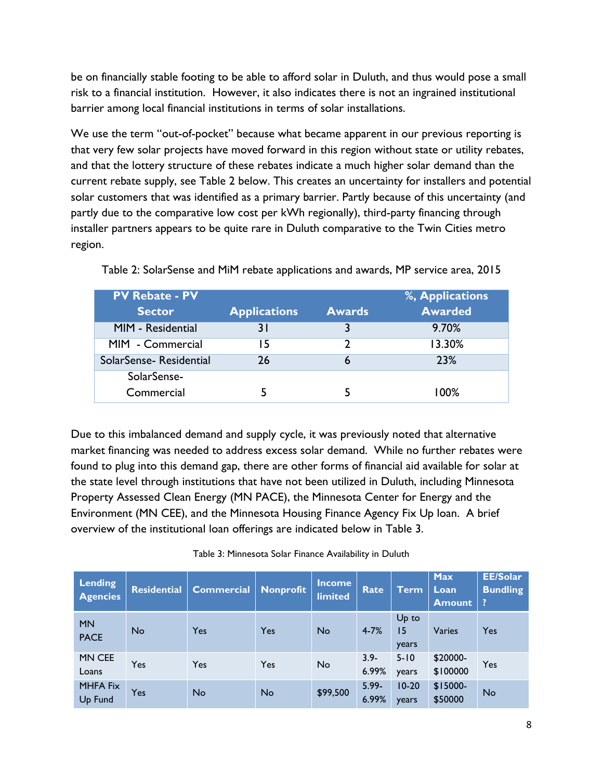be on financially stable footing to be able to afford solar in Duluth, and thus would pose a small risk to a financial institution. However, it also indicates there is not an ingrained institutional barrier among local financial institutions in terms of solar installations.

We use the term "out-of-pocket" because what became apparent in our previous reporting is that very few solar projects have moved forward in this region without state or utility rebates, and that the lottery structure of these rebates indicate a much higher solar demand than the current rebate supply, see Table 2 below. This creates an uncertainty for installers and potential solar customers that was identified as a primary barrier. Partly because of this uncertainty (and partly due to the comparative low cost per kWh regionally), third-party financing through installer partners appears to be quite rare in Duluth comparative to the Twin Cities metro region.

| <b>PV Rebate - PV</b>  |                     |               | %, Applications |
|------------------------|---------------------|---------------|-----------------|
| <b>Sector</b>          | <b>Applications</b> | <b>Awards</b> | <b>Awarded</b>  |
| MIM - Residential      | 3 I                 |               | 9.70%           |
| MIM - Commercial       | 15                  | า             | 13.30%          |
| SolarSense-Residential | 26                  | ь             | 23%             |
| SolarSense-            |                     |               |                 |
| Commercial             |                     |               | 100%            |

Table 2: SolarSense and MiM rebate applications and awards, MP service area, 2015

Due to this imbalanced demand and supply cycle, it was previously noted that alternative market financing was needed to address excess solar demand. While no further rebates were found to plug into this demand gap, there are other forms of financial aid available for solar at the state level through institutions that have not been utilized in Duluth, including Minnesota Property Assessed Clean Energy (MN PACE), the Minnesota Center for Energy and the Environment (MN CEE), and the Minnesota Housing Finance Agency Fix Up loan. A brief overview of the institutional loan offerings are indicated below in Table 3.

| Lending<br><b>Agencies</b> | <b>Residential</b> | <b>Commercial</b> | <b>Nonprofit</b> | <b>Income</b><br><b>limited</b> | <b>Rate</b>       | <b>Term</b>          | <b>Max</b><br>Loan<br><b>Amount</b> | EE/Solar<br><b>Bundling</b><br>? |
|----------------------------|--------------------|-------------------|------------------|---------------------------------|-------------------|----------------------|-------------------------------------|----------------------------------|
| <b>MN</b><br><b>PACE</b>   | <b>No</b>          | Yes               | Yes              | <b>No</b>                       | $4 - 7%$          | Up to<br>15<br>years | Varies                              | Yes                              |
| MN CEE<br>Loans            | Yes                | Yes               | Yes              | <b>No</b>                       | $3.9 -$<br>6.99%  | $5 - 10$<br>years    | \$20000-<br>\$100000                | Yes                              |
| <b>MHFA Fix</b><br>Up Fund | Yes                | <b>No</b>         | <b>No</b>        | \$99,500                        | $5.99 -$<br>6.99% | $10-20$<br>years     | $$15000-$<br>\$50000                | No                               |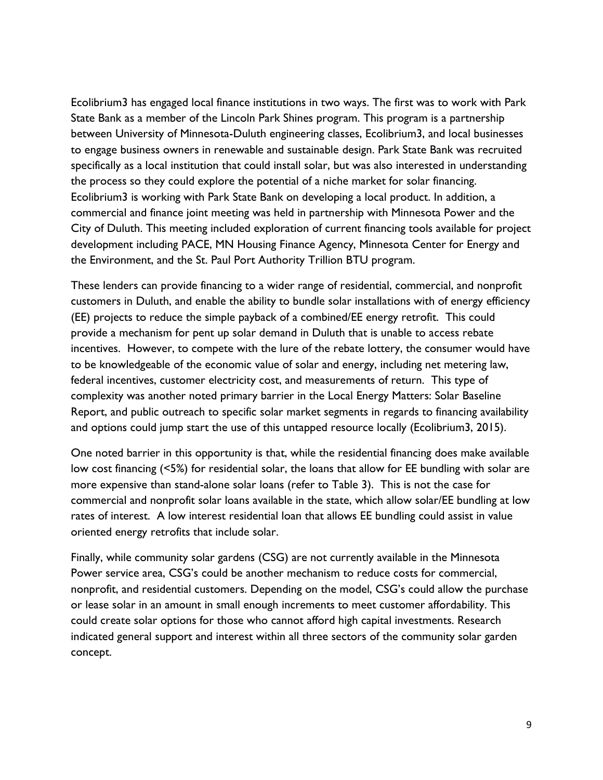Ecolibrium3 has engaged local finance institutions in two ways. The first was to work with Park State Bank as a member of the Lincoln Park Shines program. This program is a partnership between University of Minnesota-Duluth engineering classes, Ecolibrium3, and local businesses to engage business owners in renewable and sustainable design. Park State Bank was recruited specifically as a local institution that could install solar, but was also interested in understanding the process so they could explore the potential of a niche market for solar financing. Ecolibrium3 is working with Park State Bank on developing a local product. In addition, a commercial and finance joint meeting was held in partnership with Minnesota Power and the City of Duluth. This meeting included exploration of current financing tools available for project development including PACE, MN Housing Finance Agency, Minnesota Center for Energy and the Environment, and the St. Paul Port Authority Trillion BTU program.

These lenders can provide financing to a wider range of residential, commercial, and nonprofit customers in Duluth, and enable the ability to bundle solar installations with of energy efficiency (EE) projects to reduce the simple payback of a combined/EE energy retrofit. This could provide a mechanism for pent up solar demand in Duluth that is unable to access rebate incentives. However, to compete with the lure of the rebate lottery, the consumer would have to be knowledgeable of the economic value of solar and energy, including net metering law, federal incentives, customer electricity cost, and measurements of return. This type of complexity was another noted primary barrier in the Local Energy Matters: Solar Baseline Report, and public outreach to specific solar market segments in regards to financing availability and options could jump start the use of this untapped resource locally (Ecolibrium3, 2015).

One noted barrier in this opportunity is that, while the residential financing does make available low cost financing (<5%) for residential solar, the loans that allow for EE bundling with solar are more expensive than stand-alone solar loans (refer to Table 3). This is not the case for commercial and nonprofit solar loans available in the state, which allow solar/EE bundling at low rates of interest. A low interest residential loan that allows EE bundling could assist in value oriented energy retrofits that include solar.

Finally, while community solar gardens (CSG) are not currently available in the Minnesota Power service area, CSG's could be another mechanism to reduce costs for commercial, nonprofit, and residential customers. Depending on the model, CSG's could allow the purchase or lease solar in an amount in small enough increments to meet customer affordability. This could create solar options for those who cannot afford high capital investments. Research indicated general support and interest within all three sectors of the community solar garden concept.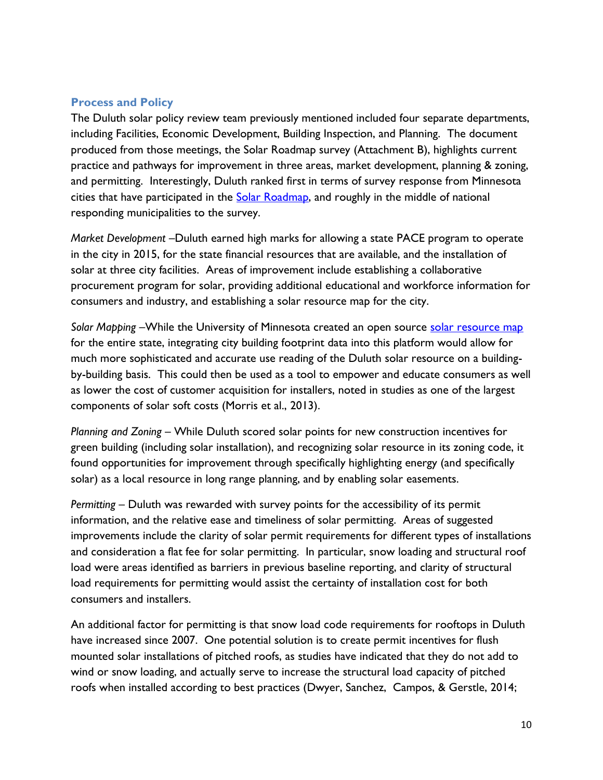#### <span id="page-10-0"></span>**Process and Policy**

The Duluth solar policy review team previously mentioned included four separate departments, including Facilities, Economic Development, Building Inspection, and Planning. The document produced from those meetings, the Solar Roadmap survey (Attachment B), highlights current practice and pathways for improvement in three areas, market development, planning & zoning, and permitting. Interestingly, Duluth ranked first in terms of survey response from Minnesota cities that have participated in the [Solar Roadmap,](http://my.solarroadmap.com/national/minnesota) and roughly in the middle of national responding municipalities to the survey.

*Market Development –*Duluth earned high marks for allowing a state PACE program to operate in the city in 2015, for the state financial resources that are available, and the installation of solar at three city facilities. Areas of improvement include establishing a collaborative procurement program for solar, providing additional educational and workforce information for consumers and industry, and establishing a solar resource map for the city.

Solar Mapping –While the University of Minnesota created an open source [solar resource map](http://solar.maps.umn.edu/app) for the entire state, integrating city building footprint data into this platform would allow for much more sophisticated and accurate use reading of the Duluth solar resource on a buildingby-building basis. This could then be used as a tool to empower and educate consumers as well as lower the cost of customer acquisition for installers, noted in studies as one of the largest components of solar soft costs (Morris et al., 2013).

*Planning and Zoning –* While Duluth scored solar points for new construction incentives for green building (including solar installation), and recognizing solar resource in its zoning code, it found opportunities for improvement through specifically highlighting energy (and specifically solar) as a local resource in long range planning, and by enabling solar easements.

*Permitting –* Duluth was rewarded with survey points for the accessibility of its permit information, and the relative ease and timeliness of solar permitting. Areas of suggested improvements include the clarity of solar permit requirements for different types of installations and consideration a flat fee for solar permitting. In particular, snow loading and structural roof load were areas identified as barriers in previous baseline reporting, and clarity of structural load requirements for permitting would assist the certainty of installation cost for both consumers and installers.

An additional factor for permitting is that snow load code requirements for rooftops in Duluth have increased since 2007. One potential solution is to create permit incentives for flush mounted solar installations of pitched roofs, as studies have indicated that they do not add to wind or snow loading, and actually serve to increase the structural load capacity of pitched roofs when installed according to best practices (Dwyer, Sanchez, Campos, & Gerstle, 2014;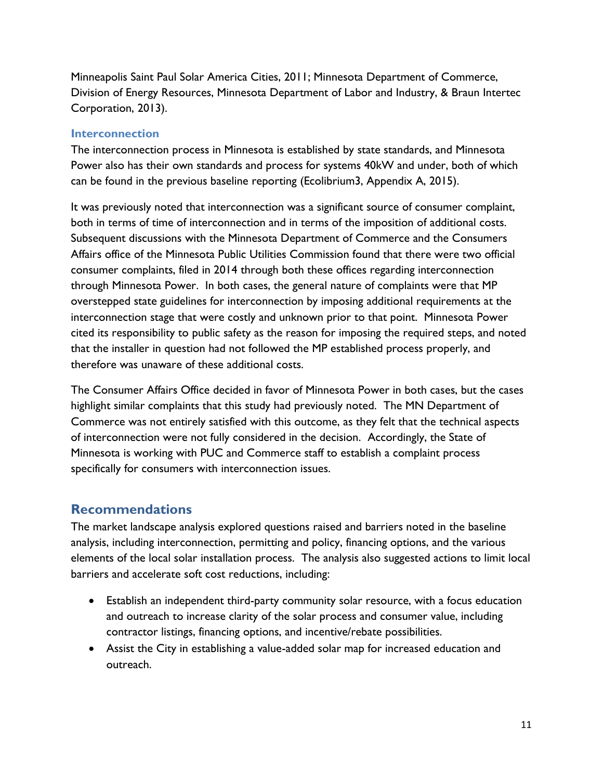Minneapolis Saint Paul Solar America Cities, 2011; Minnesota Department of Commerce, Division of Energy Resources, Minnesota Department of Labor and Industry, & Braun Intertec Corporation, 2013).

#### <span id="page-11-0"></span>**Interconnection**

The interconnection process in Minnesota is established by state standards, and Minnesota Power also has their own standards and process for systems 40kW and under, both of which can be found in the previous baseline reporting (Ecolibrium3, Appendix A, 2015).

It was previously noted that interconnection was a significant source of consumer complaint, both in terms of time of interconnection and in terms of the imposition of additional costs. Subsequent discussions with the Minnesota Department of Commerce and the Consumers Affairs office of the Minnesota Public Utilities Commission found that there were two official consumer complaints, filed in 2014 through both these offices regarding interconnection through Minnesota Power. In both cases, the general nature of complaints were that MP overstepped state guidelines for interconnection by imposing additional requirements at the interconnection stage that were costly and unknown prior to that point. Minnesota Power cited its responsibility to public safety as the reason for imposing the required steps, and noted that the installer in question had not followed the MP established process properly, and therefore was unaware of these additional costs.

The Consumer Affairs Office decided in favor of Minnesota Power in both cases, but the cases highlight similar complaints that this study had previously noted. The MN Department of Commerce was not entirely satisfied with this outcome, as they felt that the technical aspects of interconnection were not fully considered in the decision. Accordingly, the State of Minnesota is working with PUC and Commerce staff to establish a complaint process specifically for consumers with interconnection issues.

### <span id="page-11-1"></span>**Recommendations**

The market landscape analysis explored questions raised and barriers noted in the baseline analysis, including interconnection, permitting and policy, financing options, and the various elements of the local solar installation process. The analysis also suggested actions to limit local barriers and accelerate soft cost reductions, including:

- Establish an independent third-party community solar resource, with a focus education and outreach to increase clarity of the solar process and consumer value, including contractor listings, financing options, and incentive/rebate possibilities.
- Assist the City in establishing a value-added solar map for increased education and outreach.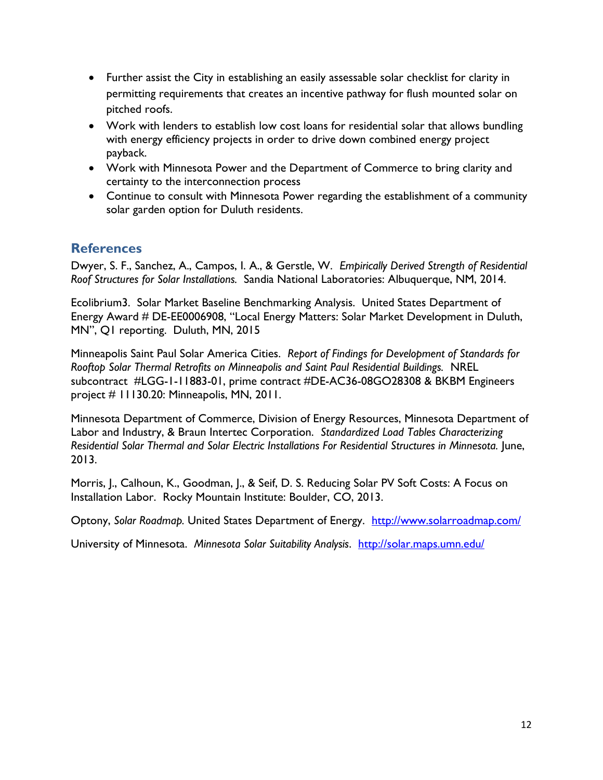- Further assist the City in establishing an easily assessable solar checklist for clarity in permitting requirements that creates an incentive pathway for flush mounted solar on pitched roofs.
- Work with lenders to establish low cost loans for residential solar that allows bundling with energy efficiency projects in order to drive down combined energy project payback.
- Work with Minnesota Power and the Department of Commerce to bring clarity and certainty to the interconnection process
- Continue to consult with Minnesota Power regarding the establishment of a community solar garden option for Duluth residents.

## <span id="page-12-0"></span>**References**

Dwyer, S. F., Sanchez, A., Campos, I. A., & Gerstle, W. *Empirically Derived Strength of Residential Roof Structures for Solar Installations.* Sandia National Laboratories: Albuquerque, NM, 2014.

Ecolibrium3. Solar Market Baseline Benchmarking Analysis. United States Department of Energy Award # DE-EE0006908, "Local Energy Matters: Solar Market Development in Duluth, MN", Q1 reporting. Duluth, MN, 2015

Minneapolis Saint Paul Solar America Cities. *Report of Findings for Development of Standards for Rooftop Solar Thermal Retrofits on Minneapolis and Saint Paul Residential Buildings.* NREL subcontract #LGG-1-11883-01, prime contract #DE-AC36-08GO28308 & BKBM Engineers project # 11130.20: Minneapolis, MN, 2011.

Minnesota Department of Commerce, Division of Energy Resources, Minnesota Department of Labor and Industry, & Braun Intertec Corporation. *Standardized Load Tables Characterizing Residential Solar Thermal and Solar Electric Installations For Residential Structures in Minnesota.* June, 2013.

Morris, J., Calhoun, K., Goodman, J., & Seif, D. S. Reducing Solar PV Soft Costs: A Focus on Installation Labor. Rocky Mountain Institute: Boulder, CO, 2013.

Optony, *Solar Roadmap.* United States Department of Energy. <http://www.solarroadmap.com/>

University of Minnesota. *Minnesota Solar Suitability Analysis*. <http://solar.maps.umn.edu/>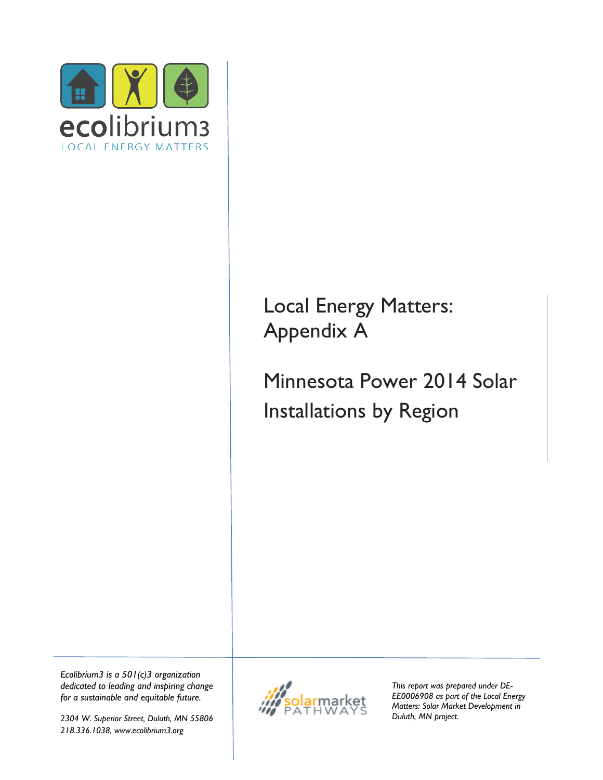

# Local Energy Matters: Appendix A

Minnesota Power 2014 Solar Installations by Region

*Ecolibrium3 is a 501(c)3 organization dedicated to leading and inspiring change for a sustainable and equitable future.*

*2304 W. Superior Street, Duluth, MN 55806 218.336.1038, www.ecolibrium3.org*



*This report was prepared under DE-EE0006908 as part of the Local Energy Matters: Solar Market Development in Duluth, MN project.*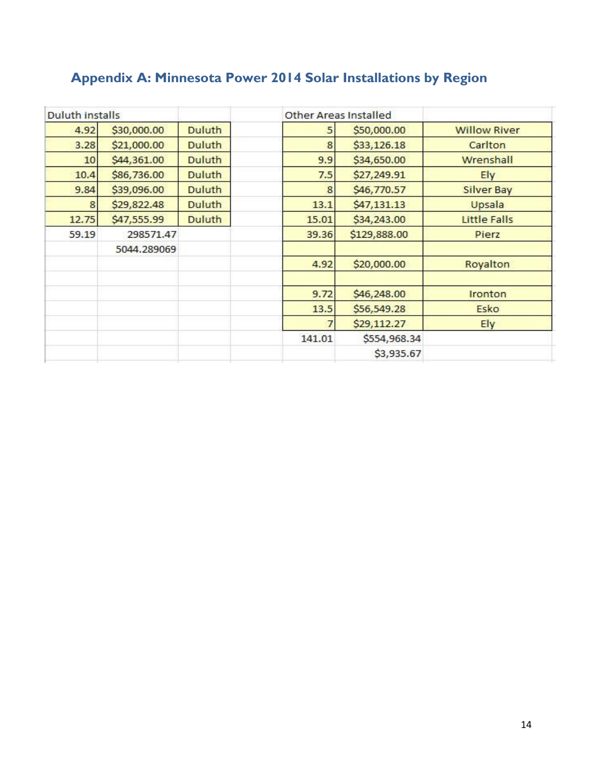## <span id="page-14-0"></span>**Appendix A: Minnesota Power 2014 Solar Installations by Region**

| Duluth installs |             |               |        | <b>Other Areas Installed</b> |                     |
|-----------------|-------------|---------------|--------|------------------------------|---------------------|
| 4.92            | \$30,000.00 | <b>Duluth</b> | 5      | \$50,000.00                  | <b>Willow River</b> |
| 3.28            | \$21,000.00 | <b>Duluth</b> | 8      | \$33,126.18                  | Carlton             |
| 10              | \$44,361.00 | <b>Duluth</b> | 9.9    | \$34,650.00                  | Wrenshall           |
| 10.4            | \$86,736.00 | <b>Duluth</b> | 7.5    | \$27,249.91                  | Ely                 |
| 9.84            | \$39,096.00 | <b>Duluth</b> | 8      | \$46,770.57                  | <b>Silver Bay</b>   |
| 8               | \$29,822.48 | <b>Duluth</b> | 13.1   | \$47,131.13                  | Upsala              |
| 12.75           | \$47,555.99 | <b>Duluth</b> | 15.01  | \$34,243.00                  | <b>Little Falls</b> |
| 59.19           | 298571.47   |               | 39.36  | \$129,888.00                 | Pierz               |
|                 | 5044.289069 |               |        |                              |                     |
|                 |             |               | 4.92   | \$20,000.00                  | Royalton            |
|                 |             |               | 9.72   | \$46,248.00                  | Ironton             |
|                 |             |               | 13.5   | \$56,549.28                  | Esko                |
|                 |             |               | ⋾      | \$29,112.27                  | Ely                 |
|                 |             |               | 141.01 | \$554,968.34                 |                     |
|                 |             |               |        | \$3,935.67                   |                     |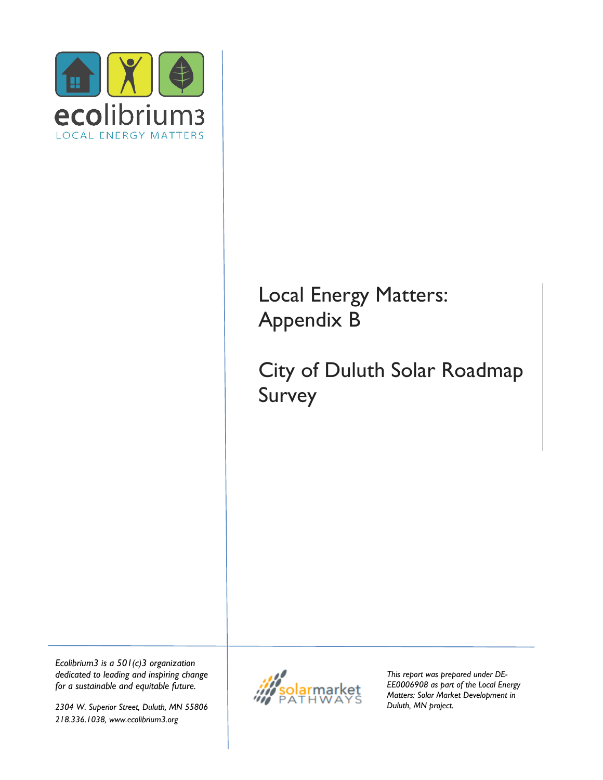

## Local Energy Matters: Appendix B

# City of Duluth Solar Roadmap Survey

*Ecolibrium3 is a 501(c)3 organization dedicated to leading and inspiring change for a sustainable and equitable future.*

*2304 W. Superior Street, Duluth, MN 55806 218.336.1038, www.ecolibrium3.org*



*This report was prepared under DE-EE0006908 as part of the Local Energy Matters: Solar Market Development in Duluth, MN project.*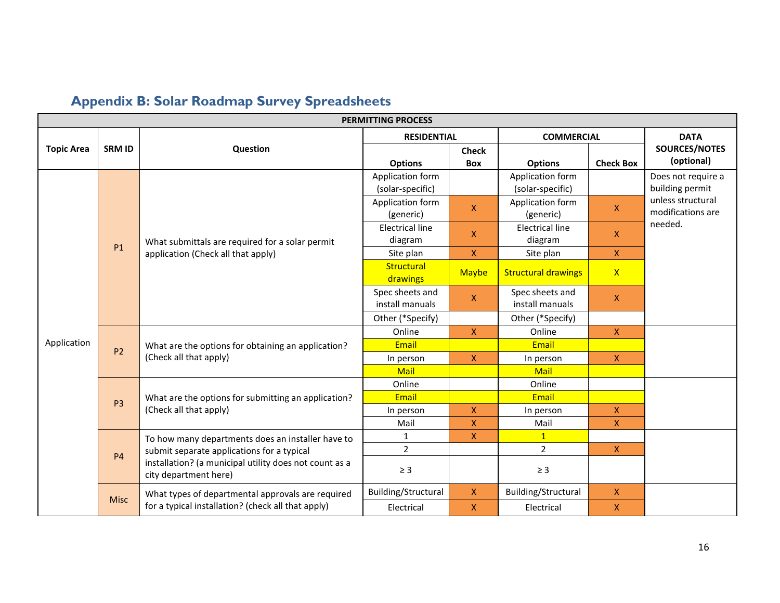<span id="page-16-0"></span>

| <b>PERMITTING PROCESS</b> |                |                                                                                 |                                      |                            |                                      |                  |                                        |  |  |  |
|---------------------------|----------------|---------------------------------------------------------------------------------|--------------------------------------|----------------------------|--------------------------------------|------------------|----------------------------------------|--|--|--|
|                           |                |                                                                                 | <b>RESIDENTIAL</b>                   |                            | <b>COMMERCIAL</b>                    |                  | <b>DATA</b>                            |  |  |  |
| <b>Topic Area</b>         | <b>SRM ID</b>  | Question                                                                        | <b>Options</b>                       | <b>Check</b><br><b>Box</b> | <b>Options</b>                       | <b>Check Box</b> | SOURCES/NOTES<br>(optional)            |  |  |  |
|                           |                |                                                                                 | Application form<br>(solar-specific) |                            | Application form<br>(solar-specific) |                  | Does not require a<br>building permit  |  |  |  |
|                           |                |                                                                                 | Application form<br>(generic)        | $\overline{\mathsf{X}}$    | Application form<br>(generic)        | $\mathsf{X}$     | unless structural<br>modifications are |  |  |  |
|                           | <b>P1</b>      | What submittals are required for a solar permit                                 | <b>Electrical line</b><br>diagram    | X                          | <b>Electrical line</b><br>diagram    | X.               | needed.                                |  |  |  |
|                           |                | application (Check all that apply)                                              | Site plan                            | X                          | Site plan                            | $\mathsf{X}$     |                                        |  |  |  |
|                           |                |                                                                                 | Structural<br>drawings               | <b>Maybe</b>               | <b>Structural drawings</b>           | $\mathsf{X}$     |                                        |  |  |  |
|                           |                |                                                                                 | Spec sheets and<br>install manuals   | $\pmb{\mathsf{X}}$         | Spec sheets and<br>install manuals   | X.               |                                        |  |  |  |
|                           |                |                                                                                 | Other (*Specify)                     |                            | Other (*Specify)                     |                  |                                        |  |  |  |
|                           | P <sub>2</sub> |                                                                                 | Online                               | $\boldsymbol{X}$           | Online                               | $\mathsf{X}$     |                                        |  |  |  |
| Application               |                | What are the options for obtaining an application?<br>(Check all that apply)    | Email                                |                            | Email                                |                  |                                        |  |  |  |
|                           |                |                                                                                 | In person                            | $\pmb{\mathsf{X}}$         | In person                            | $\mathsf{X}$     |                                        |  |  |  |
|                           |                |                                                                                 | Mail                                 |                            | <b>Mail</b>                          |                  |                                        |  |  |  |
|                           |                |                                                                                 | Online                               |                            | Online                               |                  |                                        |  |  |  |
|                           | P <sub>3</sub> | What are the options for submitting an application?                             | Email                                |                            | Email                                |                  |                                        |  |  |  |
|                           |                | (Check all that apply)                                                          | In person                            | X                          | In person                            | X.               |                                        |  |  |  |
|                           |                |                                                                                 | Mail                                 | $\overline{\mathsf{X}}$    | Mail                                 | $\mathsf{X}$     |                                        |  |  |  |
|                           |                | To how many departments does an installer have to                               | $\mathbf{1}$                         | X                          | 1                                    |                  |                                        |  |  |  |
|                           | <b>P4</b>      | submit separate applications for a typical                                      | $\overline{2}$                       |                            | $\overline{2}$                       | $\mathsf{X}$     |                                        |  |  |  |
|                           |                | installation? (a municipal utility does not count as a<br>city department here) | $\geq 3$                             |                            | $\geq$ 3                             |                  |                                        |  |  |  |
|                           |                | What types of departmental approvals are required                               | Building/Structural                  | X                          | Building/Structural                  | X.               |                                        |  |  |  |
|                           | <b>Misc</b>    | for a typical installation? (check all that apply)                              | Electrical                           | X                          | Electrical                           | X                |                                        |  |  |  |

## **Appendix B: Solar Roadmap Survey Spreadsheets**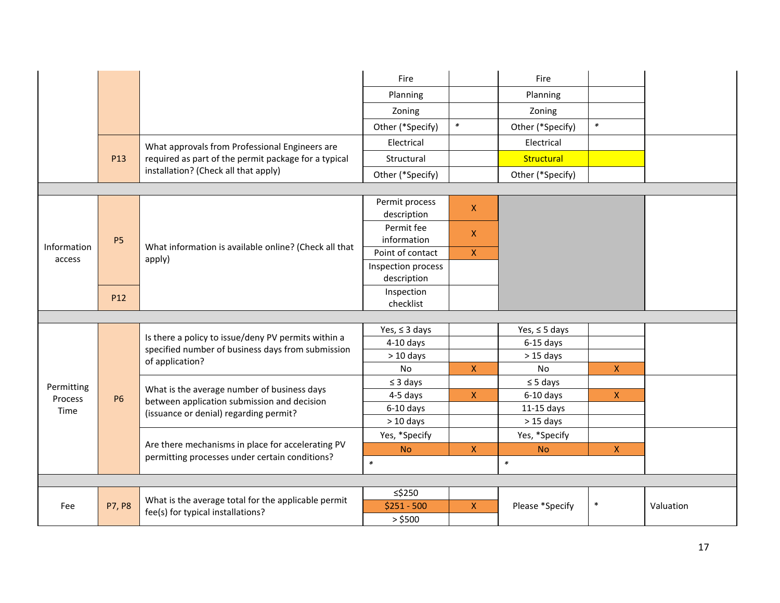|                       |               |                                                                      | Fire                              |                    | Fire               |              |           |
|-----------------------|---------------|----------------------------------------------------------------------|-----------------------------------|--------------------|--------------------|--------------|-----------|
|                       |               |                                                                      | Planning                          |                    | Planning           |              |           |
|                       |               |                                                                      | Zoning                            |                    | Zoning             |              |           |
|                       |               |                                                                      | Other (*Specify)                  | $\pmb{\ast}$       | Other (*Specify)   | $\ast$       |           |
|                       |               | What approvals from Professional Engineers are                       | Electrical                        |                    | Electrical         |              |           |
|                       | P13           | required as part of the permit package for a typical                 | Structural                        |                    | Structural         |              |           |
|                       |               | installation? (Check all that apply)                                 | Other (*Specify)                  |                    | Other (*Specify)   |              |           |
|                       |               |                                                                      |                                   |                    |                    |              |           |
|                       |               |                                                                      | Permit process<br>description     | $\pmb{\mathsf{X}}$ |                    |              |           |
|                       | <b>P5</b>     |                                                                      | Permit fee<br>information         | $\pmb{\mathsf{X}}$ |                    |              |           |
| Information<br>access |               | What information is available online? (Check all that<br>apply)      | Point of contact                  | $\pmb{\mathsf{X}}$ |                    |              |           |
|                       |               |                                                                      | Inspection process<br>description |                    |                    |              |           |
|                       | P12           |                                                                      | Inspection<br>checklist           |                    |                    |              |           |
|                       |               |                                                                      |                                   |                    |                    |              |           |
|                       |               | Is there a policy to issue/deny PV permits within a                  | Yes, $\leq$ 3 days                |                    | Yes, $\leq$ 5 days |              |           |
|                       |               | specified number of business days from submission<br>of application? | $4-10$ days                       |                    | $6-15$ days        |              |           |
|                       |               |                                                                      | $> 10$ days                       |                    | $> 15$ days        |              |           |
|                       |               |                                                                      | No                                | $\mathsf X$        | No                 | $\mathsf X$  |           |
| Permitting            |               | What is the average number of business days                          | $\leq$ 3 days                     |                    | $\leq$ 5 days      |              |           |
| Process               | <b>P6</b>     | between application submission and decision                          | 4-5 days                          | X                  | $6-10$ days        | X.           |           |
| Time                  |               | (issuance or denial) regarding permit?                               | $6-10$ days                       |                    | $11-15$ days       |              |           |
|                       |               |                                                                      | $> 10$ days                       |                    | $>15$ days         |              |           |
|                       |               |                                                                      | Yes, *Specify                     |                    | Yes, *Specify      |              |           |
|                       |               | Are there mechanisms in place for accelerating PV                    | <b>No</b>                         | $\pmb{\mathsf{X}}$ | <b>No</b>          | $\mathsf{X}$ |           |
|                       |               | permitting processes under certain conditions?                       | $\ast$                            |                    | $\ast$             |              |           |
|                       |               |                                                                      |                                   |                    |                    |              |           |
|                       |               | What is the average total for the applicable permit                  | ≤\$250                            |                    |                    |              |           |
| Fee                   | <b>P7, P8</b> | fee(s) for typical installations?                                    | $$251 - 500$                      | $\pmb{\mathsf{X}}$ | Please *Specify    | $\ast$       | Valuation |
|                       |               |                                                                      | $>$ \$500                         |                    |                    |              |           |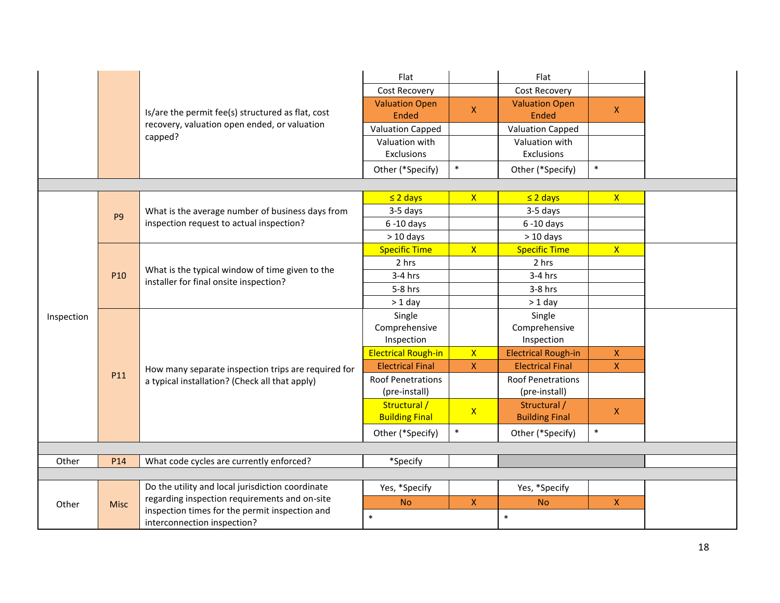|            |                |                                                                                                       | Flat                                  |                    | Flat                                  |              |
|------------|----------------|-------------------------------------------------------------------------------------------------------|---------------------------------------|--------------------|---------------------------------------|--------------|
|            |                |                                                                                                       | <b>Cost Recovery</b>                  |                    | Cost Recovery                         |              |
|            |                | Is/are the permit fee(s) structured as flat, cost                                                     | <b>Valuation Open</b><br><b>Ended</b> | $\mathsf{x}$       | <b>Valuation Open</b><br><b>Ended</b> | $\mathsf{X}$ |
|            |                | recovery, valuation open ended, or valuation                                                          | <b>Valuation Capped</b>               |                    | <b>Valuation Capped</b>               |              |
|            |                | capped?                                                                                               | Valuation with                        |                    | Valuation with                        |              |
|            |                |                                                                                                       | Exclusions                            |                    | Exclusions                            |              |
|            |                |                                                                                                       | Other (*Specify)                      | $\ast$             | Other (*Specify)                      | $\ast$       |
|            |                |                                                                                                       |                                       |                    |                                       |              |
|            |                |                                                                                                       | $\leq$ 2 days                         | $\mathsf{X}$       | $\leq$ 2 days                         | $\mathsf{X}$ |
|            | P <sub>9</sub> | What is the average number of business days from                                                      | 3-5 days                              |                    | 3-5 days                              |              |
|            |                | inspection request to actual inspection?                                                              | $6 - 10$ days                         |                    | $6 - 10$ days                         |              |
|            |                |                                                                                                       | $>10$ days                            |                    | $> 10$ days                           |              |
|            |                |                                                                                                       | <b>Specific Time</b>                  | $\mathsf{X}$       | <b>Specific Time</b>                  | $\mathsf{X}$ |
|            |                | What is the typical window of time given to the<br>installer for final onsite inspection?             | 2 hrs                                 |                    | 2 hrs                                 |              |
|            | P10            |                                                                                                       | $3-4$ hrs                             |                    | $3-4$ hrs                             |              |
|            |                |                                                                                                       | 5-8 hrs                               |                    | $3-8$ hrs                             |              |
|            |                |                                                                                                       | $> 1$ day                             |                    | $> 1$ day                             |              |
| Inspection |                |                                                                                                       | Single                                |                    | Single                                |              |
|            |                | How many separate inspection trips are required for<br>a typical installation? (Check all that apply) | Comprehensive                         |                    | Comprehensive                         |              |
|            |                |                                                                                                       | Inspection                            |                    | Inspection                            |              |
|            |                |                                                                                                       | <b>Electrical Rough-in</b>            | $\mathsf{X}$       | <b>Electrical Rough-in</b>            | X.           |
|            |                |                                                                                                       | <b>Electrical Final</b>               | $\mathsf{x}$       | <b>Electrical Final</b>               | $\mathsf{X}$ |
|            | P11            |                                                                                                       | <b>Roof Penetrations</b>              |                    | <b>Roof Penetrations</b>              |              |
|            |                |                                                                                                       | (pre-install)                         |                    | (pre-install)                         |              |
|            |                |                                                                                                       | Structural /<br><b>Building Final</b> | $\mathsf{X}$       | Structural /<br><b>Building Final</b> | X.           |
|            |                |                                                                                                       | Other (*Specify)                      | $\ast$             | Other (*Specify)                      | $\ast$       |
|            |                |                                                                                                       |                                       |                    |                                       |              |
| Other      | P14            | What code cycles are currently enforced?                                                              | *Specify                              |                    |                                       |              |
|            |                |                                                                                                       |                                       |                    |                                       |              |
|            |                | Do the utility and local jurisdiction coordinate                                                      | Yes, *Specify                         |                    | Yes, *Specify                         |              |
| Other      | <b>Misc</b>    | regarding inspection requirements and on-site                                                         | <b>No</b>                             | $\bar{\mathsf{X}}$ | <b>No</b>                             | $\mathsf{X}$ |
|            |                | inspection times for the permit inspection and<br>interconnection inspection?                         | $\ast$                                |                    | $\ast$                                |              |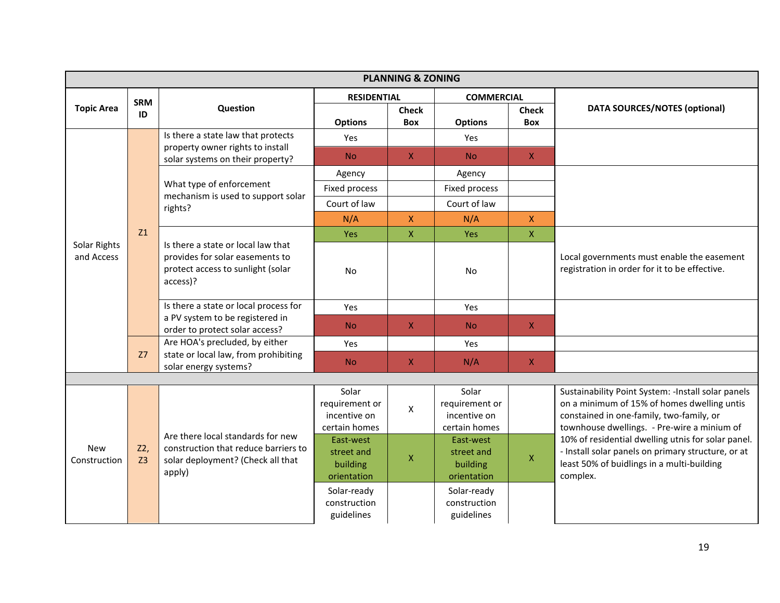| <b>PLANNING &amp; ZONING</b> |                       |                                                                                                                                                                                                                                      |                                                          |                           |                                                          |                     |                                                                                                                                                                                               |  |  |  |
|------------------------------|-----------------------|--------------------------------------------------------------------------------------------------------------------------------------------------------------------------------------------------------------------------------------|----------------------------------------------------------|---------------------------|----------------------------------------------------------|---------------------|-----------------------------------------------------------------------------------------------------------------------------------------------------------------------------------------------|--|--|--|
|                              | <b>SRM</b>            |                                                                                                                                                                                                                                      | <b>RESIDENTIAL</b>                                       |                           | <b>COMMERCIAL</b>                                        |                     |                                                                                                                                                                                               |  |  |  |
| <b>Topic Area</b>            | ID                    | Question                                                                                                                                                                                                                             | <b>Options</b>                                           | <b>Check</b><br>Box       | <b>Options</b>                                           | <b>Check</b><br>Box | <b>DATA SOURCES/NOTES (optional)</b>                                                                                                                                                          |  |  |  |
|                              |                       | Is there a state law that protects                                                                                                                                                                                                   | Yes                                                      |                           | Yes                                                      |                     |                                                                                                                                                                                               |  |  |  |
|                              |                       | property owner rights to install<br>solar systems on their property?                                                                                                                                                                 | <b>No</b>                                                | $\mathsf{X}$              | <b>No</b>                                                | $\mathsf X$         |                                                                                                                                                                                               |  |  |  |
|                              |                       |                                                                                                                                                                                                                                      | Agency                                                   |                           | Agency                                                   |                     |                                                                                                                                                                                               |  |  |  |
|                              |                       | What type of enforcement<br>mechanism is used to support solar                                                                                                                                                                       | Fixed process                                            |                           | Fixed process                                            |                     |                                                                                                                                                                                               |  |  |  |
|                              |                       | rights?                                                                                                                                                                                                                              | Court of law                                             |                           | Court of law                                             |                     |                                                                                                                                                                                               |  |  |  |
|                              |                       |                                                                                                                                                                                                                                      | N/A                                                      | $\mathsf{X}$              | N/A                                                      | $\mathsf X$         |                                                                                                                                                                                               |  |  |  |
|                              | <b>Z1</b>             |                                                                                                                                                                                                                                      | Yes                                                      | $\boldsymbol{\mathsf{X}}$ | <b>Yes</b>                                               | $\mathsf X$         |                                                                                                                                                                                               |  |  |  |
| Solar Rights<br>and Access   |                       | Is there a state or local law that<br>provides for solar easements to<br>protect access to sunlight (solar<br>access)?<br>Is there a state or local process for<br>a PV system to be registered in<br>order to protect solar access? | No                                                       |                           | <b>No</b>                                                |                     | Local governments must enable the easement<br>registration in order for it to be effective.                                                                                                   |  |  |  |
|                              |                       |                                                                                                                                                                                                                                      | Yes                                                      |                           | Yes                                                      |                     |                                                                                                                                                                                               |  |  |  |
|                              |                       |                                                                                                                                                                                                                                      | N <sub>o</sub>                                           | $\mathsf{X}$              | <b>No</b>                                                | $\mathsf{X}$        |                                                                                                                                                                                               |  |  |  |
|                              |                       | Are HOA's precluded, by either                                                                                                                                                                                                       | Yes                                                      |                           | Yes                                                      |                     |                                                                                                                                                                                               |  |  |  |
|                              | Z <sub>7</sub>        | state or local law, from prohibiting<br>solar energy systems?                                                                                                                                                                        | N <sub>o</sub>                                           | $\mathsf X$               | N/A                                                      | $\mathsf X$         |                                                                                                                                                                                               |  |  |  |
|                              |                       |                                                                                                                                                                                                                                      |                                                          |                           |                                                          |                     |                                                                                                                                                                                               |  |  |  |
| <b>New</b><br>Construction   |                       | Are there local standards for new<br>construction that reduce barriers to<br>solar deployment? (Check all that<br>apply)                                                                                                             | Solar<br>requirement or<br>incentive on<br>certain homes | $\pmb{\times}$            | Solar<br>requirement or<br>incentive on<br>certain homes |                     | Sustainability Point System: - Install solar panels<br>on a minimum of 15% of homes dwelling untis<br>constained in one-family, two-family, or<br>townhouse dwellings. - Pre-wire a minium of |  |  |  |
|                              | Z2,<br>Z <sub>3</sub> |                                                                                                                                                                                                                                      | East-west<br>street and<br>building<br>orientation       | $\mathsf X$               | East-west<br>street and<br>building<br>orientation       | $\mathsf X$         | 10% of residential dwelling utnis for solar panel.<br>- Install solar panels on primary structure, or at<br>least 50% of buidlings in a multi-building<br>complex.                            |  |  |  |
|                              |                       |                                                                                                                                                                                                                                      | Solar-ready<br>construction<br>guidelines                |                           | Solar-ready<br>construction<br>guidelines                |                     |                                                                                                                                                                                               |  |  |  |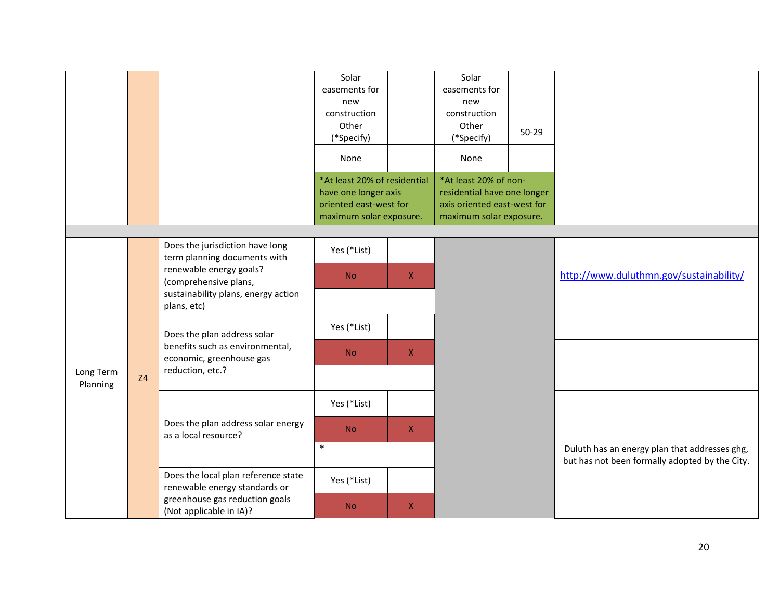|                       |  |                                                                                                                                                                                                                                                                                                          | Solar<br>easements for<br>new<br>construction<br>Other<br>(*Specify)<br>None<br>*At least 20% of residential<br>have one longer axis<br>oriented east-west for<br>maximum solar exposure. |              | Solar<br>easements for<br>new<br>construction<br>Other<br>(*Specify)<br>None<br>*At least 20% of non-<br>residential have one longer<br>axis oriented east-west for<br>maximum solar exposure. | $50 - 29$ |                                                                                                 |
|-----------------------|--|----------------------------------------------------------------------------------------------------------------------------------------------------------------------------------------------------------------------------------------------------------------------------------------------------------|-------------------------------------------------------------------------------------------------------------------------------------------------------------------------------------------|--------------|------------------------------------------------------------------------------------------------------------------------------------------------------------------------------------------------|-----------|-------------------------------------------------------------------------------------------------|
|                       |  |                                                                                                                                                                                                                                                                                                          |                                                                                                                                                                                           |              |                                                                                                                                                                                                |           |                                                                                                 |
|                       |  | Does the jurisdiction have long<br>term planning documents with<br>renewable energy goals?<br>(comprehensive plans,<br>sustainability plans, energy action<br>plans, etc)<br>Does the plan address solar<br>benefits such as environmental,<br>economic, greenhouse gas<br>reduction, etc.?<br><b>Z4</b> | Yes (*List)                                                                                                                                                                               |              |                                                                                                                                                                                                |           |                                                                                                 |
|                       |  |                                                                                                                                                                                                                                                                                                          | <b>No</b>                                                                                                                                                                                 | $\mathsf{X}$ |                                                                                                                                                                                                |           | http://www.duluthmn.gov/sustainability/                                                         |
|                       |  |                                                                                                                                                                                                                                                                                                          |                                                                                                                                                                                           |              |                                                                                                                                                                                                |           |                                                                                                 |
|                       |  |                                                                                                                                                                                                                                                                                                          | Yes (*List)                                                                                                                                                                               |              |                                                                                                                                                                                                |           |                                                                                                 |
|                       |  |                                                                                                                                                                                                                                                                                                          | <b>No</b>                                                                                                                                                                                 | $\mathsf X$  |                                                                                                                                                                                                |           |                                                                                                 |
| Long Term<br>Planning |  |                                                                                                                                                                                                                                                                                                          |                                                                                                                                                                                           |              |                                                                                                                                                                                                |           |                                                                                                 |
|                       |  | Does the plan address solar energy<br>as a local resource?                                                                                                                                                                                                                                               | Yes (*List)                                                                                                                                                                               |              |                                                                                                                                                                                                |           |                                                                                                 |
|                       |  |                                                                                                                                                                                                                                                                                                          | <b>No</b>                                                                                                                                                                                 | $\mathsf X$  |                                                                                                                                                                                                |           |                                                                                                 |
|                       |  |                                                                                                                                                                                                                                                                                                          | $\ast$                                                                                                                                                                                    |              |                                                                                                                                                                                                |           | Duluth has an energy plan that addresses ghg,<br>but has not been formally adopted by the City. |
|                       |  | Does the local plan reference state<br>renewable energy standards or                                                                                                                                                                                                                                     | Yes (*List)                                                                                                                                                                               |              |                                                                                                                                                                                                |           |                                                                                                 |
|                       |  | greenhouse gas reduction goals<br>(Not applicable in IA)?                                                                                                                                                                                                                                                | <b>No</b>                                                                                                                                                                                 | X            |                                                                                                                                                                                                |           |                                                                                                 |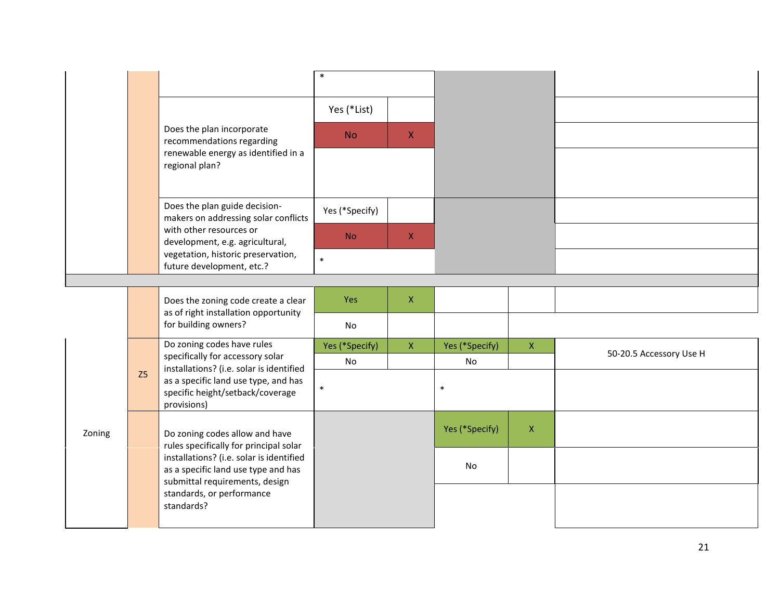|        |  |                                                                                                                                                              | $\ast$         |              |                |             |                         |
|--------|--|--------------------------------------------------------------------------------------------------------------------------------------------------------------|----------------|--------------|----------------|-------------|-------------------------|
|        |  |                                                                                                                                                              | Yes (*List)    |              |                |             |                         |
|        |  | Does the plan incorporate<br>recommendations regarding                                                                                                       | <b>No</b>      | $\mathsf{X}$ |                |             |                         |
|        |  | renewable energy as identified in a<br>regional plan?                                                                                                        |                |              |                |             |                         |
|        |  | Does the plan guide decision-<br>makers on addressing solar conflicts                                                                                        | Yes (*Specify) |              |                |             |                         |
|        |  | with other resources or<br>development, e.g. agricultural,                                                                                                   | <b>No</b>      | $\mathsf{X}$ |                |             |                         |
|        |  | vegetation, historic preservation,<br>future development, etc.?                                                                                              | $\ast$         |              |                |             |                         |
|        |  |                                                                                                                                                              |                |              |                |             |                         |
|        |  | Does the zoning code create a clear<br>as of right installation opportunity                                                                                  | Yes            | $\mathsf{X}$ |                |             |                         |
|        |  | for building owners?                                                                                                                                         | No             |              |                |             |                         |
|        |  | Do zoning codes have rules<br>specifically for accessory solar                                                                                               | Yes (*Specify) | $\mathsf{X}$ | Yes (*Specify) | $\mathsf X$ | 50-20.5 Accessory Use H |
|        |  | installations? (i.e. solar is identified                                                                                                                     | No             |              | No             |             |                         |
|        |  | Z <sub>5</sub><br>as a specific land use type, and has<br>specific height/setback/coverage<br>provisions)                                                    | $\ast$         |              | $\ast$         |             |                         |
| Zoning |  | Do zoning codes allow and have<br>rules specifically for principal solar                                                                                     |                |              | Yes (*Specify) | $\mathsf X$ |                         |
|        |  | installations? (i.e. solar is identified<br>as a specific land use type and has<br>submittal requirements, design<br>standards, or performance<br>standards? |                |              | <b>No</b>      |             |                         |
|        |  |                                                                                                                                                              |                |              |                |             |                         |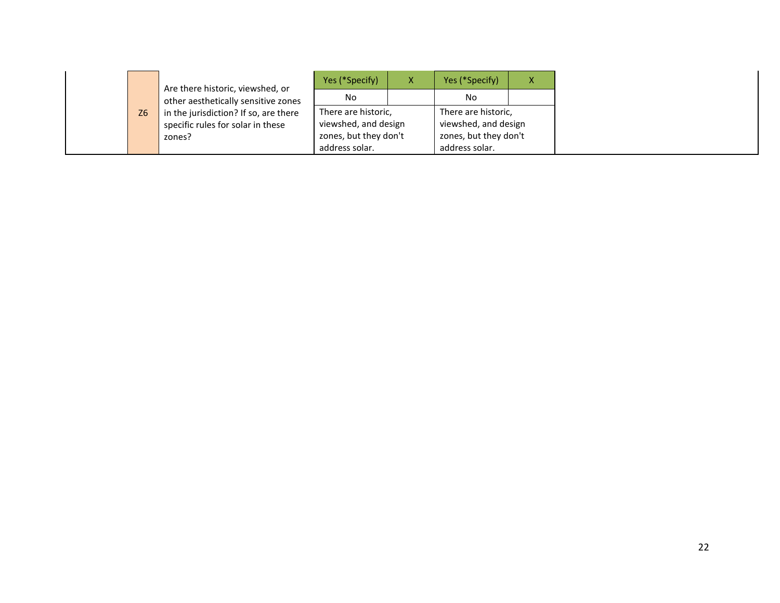|           | Are there historic, viewshed, or      | Yes (*Specify)        | Yes (*Specify)        | X |
|-----------|---------------------------------------|-----------------------|-----------------------|---|
|           | other aesthetically sensitive zones   | No.                   | No.                   |   |
| <b>Z6</b> | in the jurisdiction? If so, are there | There are historic,   | There are historic,   |   |
|           | specific rules for solar in these     | viewshed, and design  | viewshed, and design  |   |
|           | zones?                                | zones, but they don't | zones, but they don't |   |
|           |                                       | address solar.        | address solar.        |   |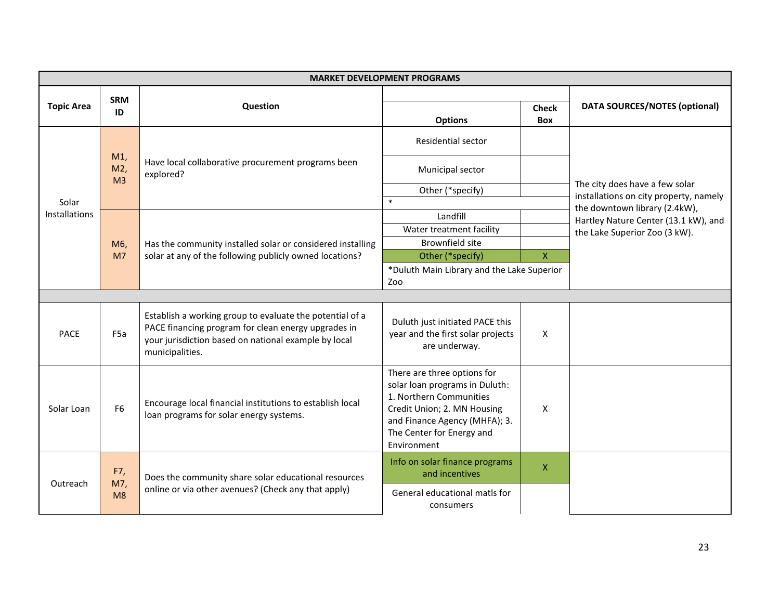| <b>MARKET DEVELOPMENT PROGRAMS</b> |                                  |                                                                                                                                                                                            |                                                                                                                                                                                                      |                     |                                                                          |  |  |
|------------------------------------|----------------------------------|--------------------------------------------------------------------------------------------------------------------------------------------------------------------------------------------|------------------------------------------------------------------------------------------------------------------------------------------------------------------------------------------------------|---------------------|--------------------------------------------------------------------------|--|--|
| <b>Topic Area</b>                  | <b>SRM</b><br>ID                 | Question                                                                                                                                                                                   | <b>Options</b>                                                                                                                                                                                       | <b>Check</b><br>Box | <b>DATA SOURCES/NOTES (optional)</b>                                     |  |  |
| Solar<br><b>Installations</b>      | $M1$ ,<br>M2,<br>M <sub>3</sub>  | Have local collaborative procurement programs been<br>explored?                                                                                                                            | <b>Residential sector</b>                                                                                                                                                                            |                     |                                                                          |  |  |
|                                    |                                  |                                                                                                                                                                                            | Municipal sector                                                                                                                                                                                     |                     | The city does have a few solar<br>installations on city property, namely |  |  |
|                                    |                                  |                                                                                                                                                                                            | Other (*specify)                                                                                                                                                                                     |                     |                                                                          |  |  |
|                                    |                                  |                                                                                                                                                                                            | $\ast$                                                                                                                                                                                               |                     | the downtown library (2.4kW),                                            |  |  |
|                                    |                                  |                                                                                                                                                                                            | Landfill                                                                                                                                                                                             |                     | Hartley Nature Center (13.1 kW), and<br>the Lake Superior Zoo (3 kW).    |  |  |
|                                    | M <sub>6</sub><br>M <sub>7</sub> | Has the community installed solar or considered installing<br>solar at any of the following publicly owned locations?                                                                      | Water treatment facility                                                                                                                                                                             |                     |                                                                          |  |  |
|                                    |                                  |                                                                                                                                                                                            | Brownfield site                                                                                                                                                                                      |                     |                                                                          |  |  |
|                                    |                                  |                                                                                                                                                                                            | Other (*specify)                                                                                                                                                                                     | X.                  |                                                                          |  |  |
|                                    |                                  |                                                                                                                                                                                            | *Duluth Main Library and the Lake Superior                                                                                                                                                           |                     |                                                                          |  |  |
|                                    | Zoo                              |                                                                                                                                                                                            |                                                                                                                                                                                                      |                     |                                                                          |  |  |
|                                    |                                  |                                                                                                                                                                                            |                                                                                                                                                                                                      |                     |                                                                          |  |  |
| <b>PACE</b>                        | F <sub>5a</sub>                  | Establish a working group to evaluate the potential of a<br>PACE financing program for clean energy upgrades in<br>your jurisdiction based on national example by local<br>municipalities. | Duluth just initiated PACE this<br>year and the first solar projects<br>are underway.                                                                                                                | X                   |                                                                          |  |  |
| Solar Loan                         | F <sub>6</sub>                   | Encourage local financial institutions to establish local<br>loan programs for solar energy systems.                                                                                       | There are three options for<br>solar loan programs in Duluth:<br>1. Northern Communities<br>Credit Union; 2. MN Housing<br>and Finance Agency (MHFA); 3.<br>The Center for Energy and<br>Environment | X                   |                                                                          |  |  |
| Outreach                           | F7,<br>M7,<br>M8                 | Does the community share solar educational resources                                                                                                                                       | Info on solar finance programs<br>and incentives                                                                                                                                                     | $\pmb{\times}$      |                                                                          |  |  |
|                                    |                                  | online or via other avenues? (Check any that apply)                                                                                                                                        | General educational matls for<br>consumers                                                                                                                                                           |                     |                                                                          |  |  |